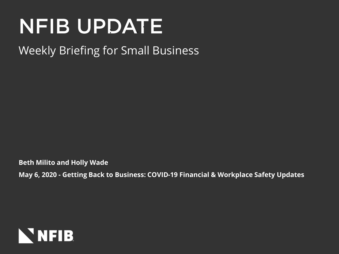# **NFIB UPDATE**

#### Weekly Briefing for Small Business

**Beth Milito and Holly Wade**

**May 6, 2020 - Getting Back to Business: COVID-19 Financial & Workplace Safety Updates**

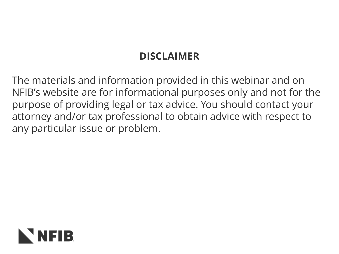#### **DISCLAIMER**

The materials and information provided in this webinar and on NFIB's website are for informational purposes only and not for the purpose of providing legal or tax advice. You should contact your attorney and/or tax professional to obtain advice with respect to any particular issue or problem.

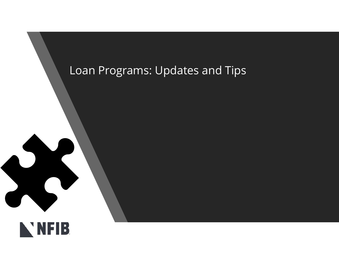#### Loan Programs: Updates and Tips

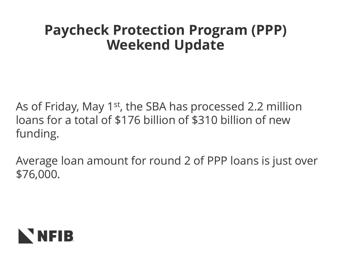### **Paycheck Protection Program (PPP) Weekend Update**

As of Friday, May 1<sup>st</sup>, the SBA has processed 2.2 million loans for a total of \$176 billion of \$310 billion of new funding.

Average loan amount for round 2 of PPP loans is just over \$76,000.

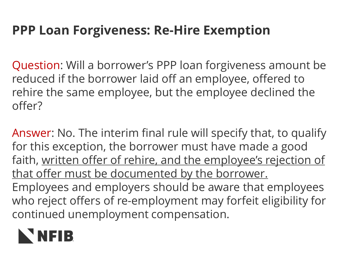### **PPP Loan Forgiveness: Re-Hire Exemption**

Question: Will a borrower's PPP loan forgiveness amount be reduced if the borrower laid off an employee, offered to rehire the same employee, but the employee declined the offer?

Answer: No. The interim final rule will specify that, to qualify for this exception, the borrower must have made a good faith, written offer of rehire, and the employee's rejection of that offer must be documented by the borrower. Employees and employers should be aware that employees who reject offers of re-employment may forfeit eligibility for continued unemployment compensation.

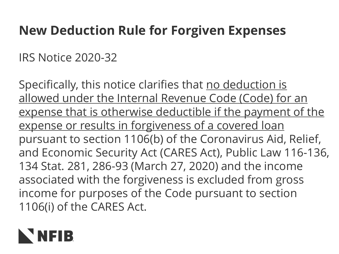#### **New Deduction Rule for Forgiven Expenses**

IRS Notice 2020-32

Specifically, this notice clarifies that no deduction is allowed under the Internal Revenue Code (Code) for an expense that is otherwise deductible if the payment of the expense or results in forgiveness of a covered loan pursuant to section 1106(b) of the Coronavirus Aid, Relief, and Economic Security Act (CARES Act), Public Law 116-136, 134 Stat. 281, 286-93 (March 27, 2020) and the income associated with the forgiveness is excluded from gross income for purposes of the Code pursuant to section 1106(i) of the CARES Act.

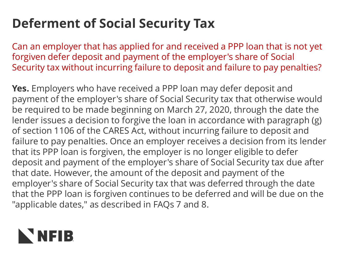# **Deferment of Social Security Tax**

Can an employer that has applied for and received a PPP loan that is not yet forgiven defer deposit and payment of the employer's share of Social Security tax without incurring failure to deposit and failure to pay penalties?

**Yes.** Employers who have received a PPP loan may defer deposit and payment of the employer's share of Social Security tax that otherwise would be required to be made beginning on March 27, 2020, through the date the lender issues a decision to forgive the loan in accordance with paragraph (g) of section 1106 of the CARES Act, without incurring failure to deposit and failure to pay penalties. Once an employer receives a decision from its lender that its PPP loan is forgiven, the employer is no longer eligible to defer deposit and payment of the employer's share of Social Security tax due after that date. However, the amount of the deposit and payment of the employer's share of Social Security tax that was deferred through the date that the PPP loan is forgiven continues to be deferred and will be due on the "applicable dates," as described in FAQs 7 and 8.

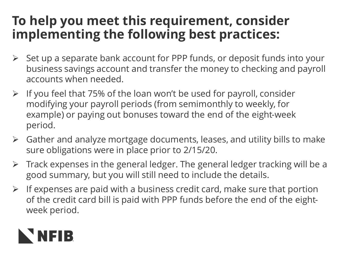#### **To help you meet this requirement, consider implementing the following best practices:**

- $\triangleright$  Set up a separate bank account for PPP funds, or deposit funds into your business savings account and transfer the money to checking and payroll accounts when needed.
- ➢ If you feel that 75% of the loan won't be used for payroll, consider modifying your payroll periods (from semimonthly to weekly, for example) or paying out bonuses toward the end of the eight-week period.
- ➢ Gather and analyze mortgage documents, leases, and utility bills to make sure obligations were in place prior to 2/15/20.
- ➢ Track expenses in the general ledger. The general ledger tracking will be a good summary, but you will still need to include the details.
- $\triangleright$  If expenses are paid with a business credit card, make sure that portion of the credit card bill is paid with PPP funds before the end of the eightweek period.

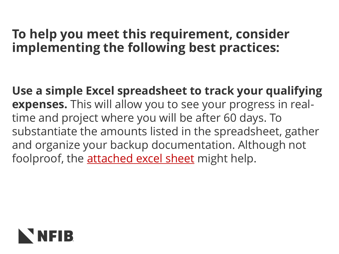#### **To help you meet this requirement, consider implementing the following best practices:**

**Use a simple Excel spreadsheet to track your qualifying expenses.** This will allow you to see your progress in realtime and project where you will be after 60 days. To substantiate the amounts listed in the spreadsheet, gather and organize your backup documentation. Although not foolproof, the [attached excel sheet](http://r20.rs6.net/tn.jsp?f=001IcPXupZMRw7ymmVt_oTFSuGuS9JQhOHBsjQNGrUv7qgtj3F9pJRPAlm90XUM_GKhULGBbiSve-sC_H0951J2UE6P-YK0DX_BCy59r0XvdOvZBcChlq7vLk_RrpWhOhTMCji4D5GXM7X8W3_ZHyLtInWxh8yXrS7tUaL2EKQbrjmTUcc5bNcStqp7PyTFlbFGVA-_1lf429mfmg_efQ4JIldIFWlsYq1jMTukWXmeBkE=&c=L3oW_xYh4FKqnQ1ENgCmpWqnsiiN7vLUL9BbtZWpoer1wShDRUmHBA==&ch=_svMNPjJrRl2YsDt0TT4Per-flhnFhZhOl5ZhVVBG08Z-bFERgz5Mg==) might help.

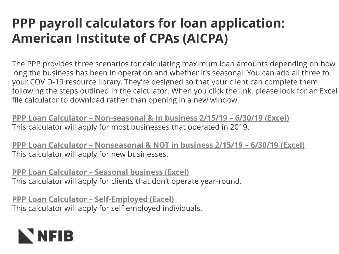### **PPP payroll calculators for loan application: American Institute of CPAs (AICPA)**

The PPP provides three scenarios for calculating maximum loan amounts depending on how long the business has been in operation and whether it's seasonal. You can add all three to your COVID-19 resource library. They're designed so that your client can complete them following the steps outlined in the calculator. When you click the link, please look for an Excel file calculator to download rather than opening in a new window.

**PPP Loan Calculator – [Non-seasonal & In business 2/15/19](https://www.aicpa.org/content/dam/aicpa/interestareas/privatecompaniespracticesection/qualityservicesdelivery/ussba/downloadabledocuments/ppp-loan-calculator-non-seasonal-operational-in-2019.xlsx) – 6/30/19 (Excel)** This calculator will apply for most businesses that operated in 2019.

**PPP Loan Calculator – [Nonseasonal & NOT in business 2/15/19](https://www.aicpa.org/content/dam/aicpa/interestareas/privatecompaniespracticesection/qualityservicesdelivery/ussba/downloadabledocuments/ppp-loan-calculator-non-seasonal-non-operational-in-2019.xlsx) – 6/30/19 (Excel)** This calculator will apply for new businesses.

**PPP Loan Calculator – [Seasonal business \(Excel\)](https://www.aicpa.org/content/dam/aicpa/interestareas/privatecompaniespracticesection/qualityservicesdelivery/ussba/downloadabledocuments/ppp-loan-calculator-seasonal-employers.xlsx)** This calculator will apply for clients that don't operate year-round.

**PPP Loan Calculator – [Self-Employed \(Excel\)](https://www.aicpa.org/content/dam/aicpa/interestareas/privatecompaniespracticesection/qualityservicesdelivery/ussba/downloadabledocuments/ppp-loan-calculator-self-employed.xlsx)** This calculator will apply for self-employed individuals.

# NEIB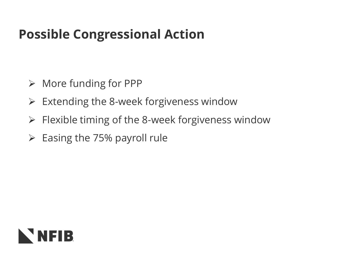### **Possible Congressional Action**

- ➢ More funding for PPP
- $\triangleright$  Extending the 8-week forgiveness window
- $\triangleright$  Flexible timing of the 8-week forgiveness window
- $\triangleright$  Easing the 75% payroll rule

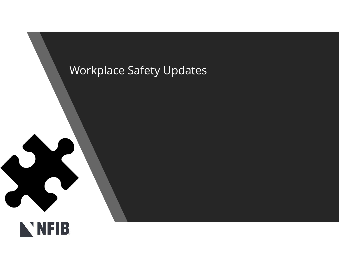#### Workplace Safety Updates



NATIONAL PROPERTY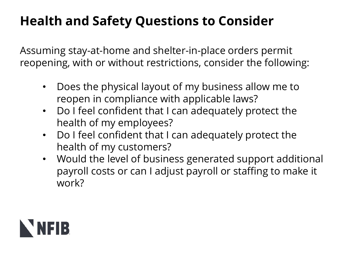# **Health and Safety Questions to Consider**

Assuming stay-at-home and shelter-in-place orders permit reopening, with or without restrictions, consider the following:

- Does the physical layout of my business allow me to reopen in compliance with applicable laws?
- Do I feel confident that I can adequately protect the health of my employees?
- Do I feel confident that I can adequately protect the health of my customers?
- Would the level of business generated support additional payroll costs or can I adjust payroll or staffing to make it work?

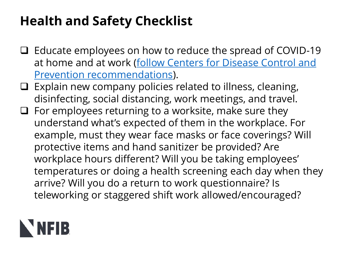# **Health and Safety Checklist**

- ❑ Educate employees on how to reduce the spread of COVID-19 [at home and at work \(follow Centers for Disease Control and](https://www.cdc.gov/coronavirus/2019-ncov/prevent-getting-sick/prevention.html)  Prevention recommendations).
- $\Box$  Explain new company policies related to illness, cleaning, disinfecting, social distancing, work meetings, and travel.
- ❑ For employees returning to a worksite, make sure they understand what's expected of them in the workplace. For example, must they wear face masks or face coverings? Will protective items and hand sanitizer be provided? Are workplace hours different? Will you be taking employees' temperatures or doing a health screening each day when they arrive? Will you do a return to work questionnaire? Is teleworking or staggered shift work allowed/encouraged?

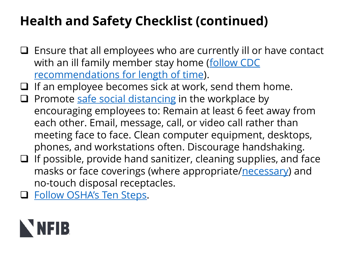# **Health and Safety Checklist (continued)**

- ❑ Ensure that all employees who are currently ill or have contact [with an ill family member stay home \(follow CDC](https://www.cdc.gov/coronavirus/2019-ncov/prevent-getting-sick/social-distancing.html)  recommendations for length of time).
- ❑ If an employee becomes sick at work, send them home.
- $\Box$  Promote [safe social distancing](https://www.cdc.gov/coronavirus/2019-ncov/prevent-getting-sick/social-distancing.html) in the workplace by encouraging employees to: Remain at least 6 feet away from each other. Email, message, call, or video call rather than meeting face to face. Clean computer equipment, desktops, phones, and workstations often. Discourage handshaking.
- ❑ If possible, provide hand sanitizer, cleaning supplies, and face masks or face coverings (where appropriate/[necessary\)](https://www.littler.com/publication-press/publication/facing-your-face-mask-duties-list-statewide-orders) and no-touch disposal receptacles.
- ❑ [Follow OSHA's Ten Steps](https://www.osha.gov/Publications/OSHA3994.pdf).

# NNFIB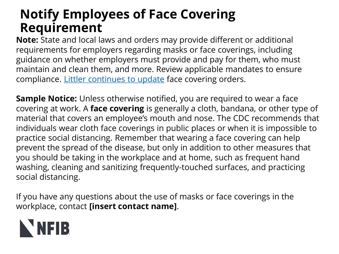#### **Notify Employees of Face Covering Requirement**

**Note:** State and local laws and orders may provide different or additional requirements for employers regarding masks or face coverings, including guidance on whether employers must provide and pay for them, who must maintain and clean them, and more. Review applicable mandates to ensure compliance. [Littler continues to update](https://www.littler.com/publication-press/publication/facing-your-face-mask-duties-list-statewide-orders) face covering orders.

**Sample Notice:** Unless otherwise notified, you are required to wear a face covering at work. A **face covering** is generally a cloth, bandana, or other type of material that covers an employee's mouth and nose. The CDC recommends that individuals wear cloth face coverings in public places or when it is impossible to practice social distancing. Remember that wearing a face covering can help prevent the spread of the disease, but only in addition to other measures that you should be taking in the workplace and at home, such as frequent hand washing, cleaning and sanitizing frequently-touched surfaces, and practicing social distancing.

If you have any questions about the use of masks or face coverings in the workplace, contact **[insert contact name]**.

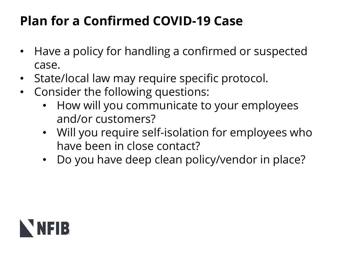# **Plan for a Confirmed COVID-19 Case**

- Have a policy for handling a confirmed or suspected case.
- State/local law may require specific protocol.
- Consider the following questions:
	- How will you communicate to your employees and/or customers?
	- Will you require self-isolation for employees who have been in close contact?
	- Do you have deep clean policy/vendor in place?

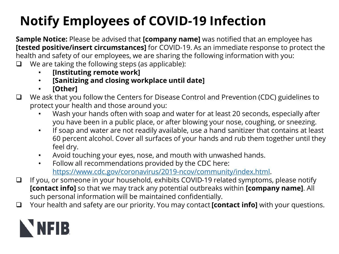# **Notify Employees of COVID-19 Infection**

**Sample Notice:** Please be advised that **[company name]** was notified that an employee has **[tested positive/insert circumstances]** for COVID-19. As an immediate response to protect the health and safety of our employees, we are sharing the following information with you: ❑ We are taking the following steps (as applicable):

- **[Instituting remote work]**
- **[Sanitizing and closing workplace until date]**
- **[Other]**
- ❑ We ask that you follow the Centers for Disease Control and Prevention (CDC) guidelines to protect your health and those around you:
	- Wash your hands often with soap and water for at least 20 seconds, especially after you have been in a public place, or after blowing your nose, coughing, or sneezing.
	- If soap and water are not readily available, use a hand sanitizer that contains at least 60 percent alcohol. Cover all surfaces of your hands and rub them together until they feel dry.
	- Avoid touching your eyes, nose, and mouth with unwashed hands.
	- Follow all recommendations provided by the CDC here: <https://www.cdc.gov/coronavirus/2019-ncov/community/index.html>.
- ❑ If you, or someone in your household, exhibits COVID-19 related symptoms, please notify **[contact info]** so that we may track any potential outbreaks within **[company name]**. All such personal information will be maintained confidentially.
- ❑ Your health and safety are our priority. You may contact **[contact info]** with your questions.

# NNFIB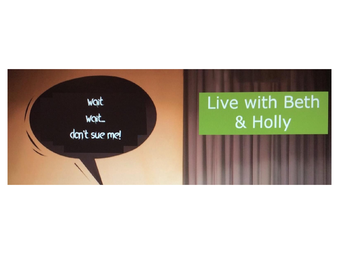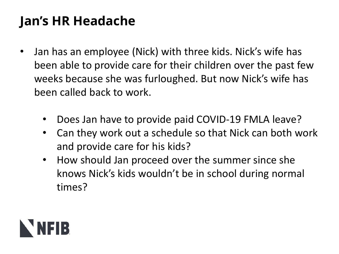### **Jan's HR Headache**

- Jan has an employee (Nick) with three kids. Nick's wife has been able to provide care for their children over the past few weeks because she was furloughed. But now Nick's wife has been called back to work.
	- Does Jan have to provide paid COVID-19 FMLA leave?
	- Can they work out a schedule so that Nick can both work and provide care for his kids?
	- How should Jan proceed over the summer since she knows Nick's kids wouldn't be in school during normal times?

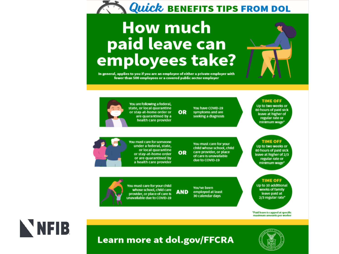

# **How much** paid leave can<br>employees take?

In general, applies to you if you are an employee of either a private employer with fewer than 500 employees or a covered public sector employer



You are following a federal. Up to two weeks or state, or local quarantine You have COVID-19 or stay-at-home order or OR symptoms and are are quarantined by a seeking a diagnosis health care provider

> You must care for your child whose school, child care provider, or place OR of care is unavailable due to COVID-19

80 hours of paid sick leave at higher of regular rate or minimum wage<sup>\*</sup>

**TIME OFF** 

#### **TIME OFF**

Up to two weeks or 80 hours of paid sick leave at higher of 2/3 regular rate or minimum wage<sup>\*</sup>

You must care for your child whose school, child care **AND** provider, or place of care is unavailable due to COVID-19

You must care for someone

under a federal, state,

or stay-at-home order

or are quarantined by

a health care provider

or local quarantine

You've been employed at least 30 calendar days

**TIME OFF** Up to 10 additional weeks of family leave paid at 2/3 regular rate\*

\*Paid leave is capped at specific maximum amounts per worker



**Learn more at dol.gov/FFCRA** 

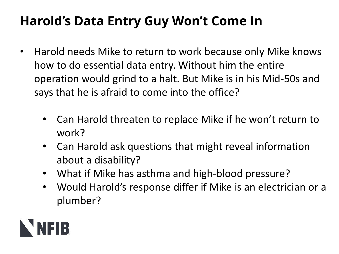# **Harold's Data Entry Guy Won't Come In**

- Harold needs Mike to return to work because only Mike knows how to do essential data entry. Without him the entire operation would grind to a halt. But Mike is in his Mid-50s and says that he is afraid to come into the office?
	- Can Harold threaten to replace Mike if he won't return to work?
	- Can Harold ask questions that might reveal information about a disability?
	- What if Mike has asthma and high-blood pressure?
	- Would Harold's response differ if Mike is an electrician or a plumber?

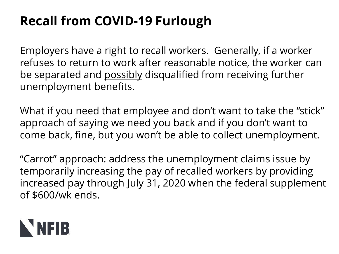# **Recall from COVID-19 Furlough**

Employers have a right to recall workers. Generally, if a worker refuses to return to work after reasonable notice, the worker can be separated and possibly disqualified from receiving further unemployment benefits.

What if you need that employee and don't want to take the "stick" approach of saying we need you back and if you don't want to come back, fine, but you won't be able to collect unemployment.

"Carrot" approach: address the unemployment claims issue by temporarily increasing the pay of recalled workers by providing increased pay through July 31, 2020 when the federal supplement of \$600/wk ends.

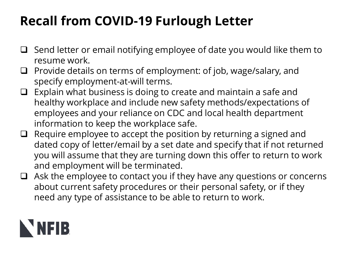# **Recall from COVID-19 Furlough Letter**

- ❑ Send letter or email notifying employee of date you would like them to resume work.
- ❑ Provide details on terms of employment: of job, wage/salary, and specify employment-at-will terms.
- ❑ Explain what business is doing to create and maintain a safe and healthy workplace and include new safety methods/expectations of employees and your reliance on CDC and local health department information to keep the workplace safe.
- $\Box$  Require employee to accept the position by returning a signed and dated copy of letter/email by a set date and specify that if not returned you will assume that they are turning down this offer to return to work and employment will be terminated.
- ❑ Ask the employee to contact you if they have any questions or concerns about current safety procedures or their personal safety, or if they need any type of assistance to be able to return to work.

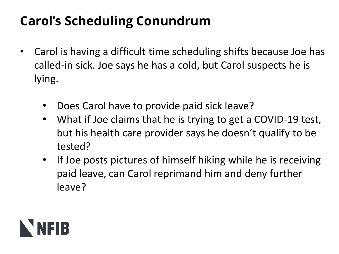# **Carol's Scheduling Conundrum**

- Carol is having a difficult time scheduling shifts because Joe has called-in sick. Joe says he has a cold, but Carol suspects he is lying.
	- Does Carol have to provide paid sick leave?
	- What if Joe claims that he is trying to get a COVID-19 test, but his health care provider says he doesn't qualify to be tested?
	- If Joe posts pictures of himself hiking while he is receiving paid leave, can Carol reprimand him and deny further leave?

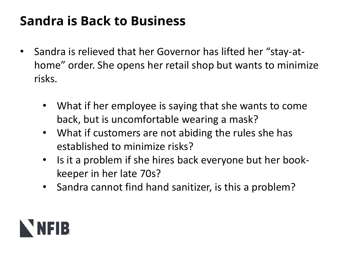### **Sandra is Back to Business**

- Sandra is relieved that her Governor has lifted her "stay-athome" order. She opens her retail shop but wants to minimize risks.
	- What if her employee is saying that she wants to come back, but is uncomfortable wearing a mask?
	- What if customers are not abiding the rules she has established to minimize risks?
	- Is it a problem if she hires back everyone but her bookkeeper in her late 70s?
	- Sandra cannot find hand sanitizer, is this a problem?

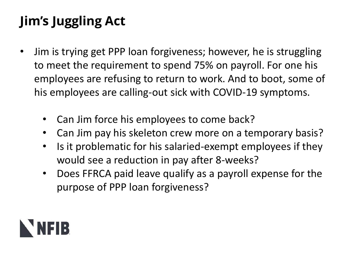# **Jim's Juggling Act**

- Jim is trying get PPP loan forgiveness; however, he is struggling to meet the requirement to spend 75% on payroll. For one his employees are refusing to return to work. And to boot, some of his employees are calling-out sick with COVID-19 symptoms.
	- Can Jim force his employees to come back?
	- Can Jim pay his skeleton crew more on a temporary basis?
	- Is it problematic for his salaried-exempt employees if they would see a reduction in pay after 8-weeks?
	- Does FFRCA paid leave qualify as a payroll expense for the purpose of PPP loan forgiveness?

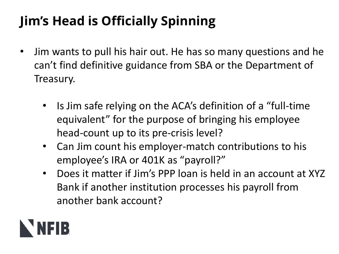# **Jim's Head is Officially Spinning**

- Jim wants to pull his hair out. He has so many questions and he can't find definitive guidance from SBA or the Department of Treasury.
	- Is Jim safe relying on the ACA's definition of a "full-time equivalent" for the purpose of bringing his employee head-count up to its pre-crisis level?
	- Can Jim count his employer-match contributions to his employee's IRA or 401K as "payroll?"
	- Does it matter if Jim's PPP loan is held in an account at XYZ Bank if another institution processes his payroll from another bank account?

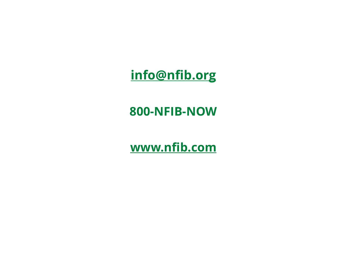#### **[info@nfib.org](mailto:info@nfib.org)**

#### **800-NFIB-NOW**

**[www.nfib.com](http://www.nfib.com/)**